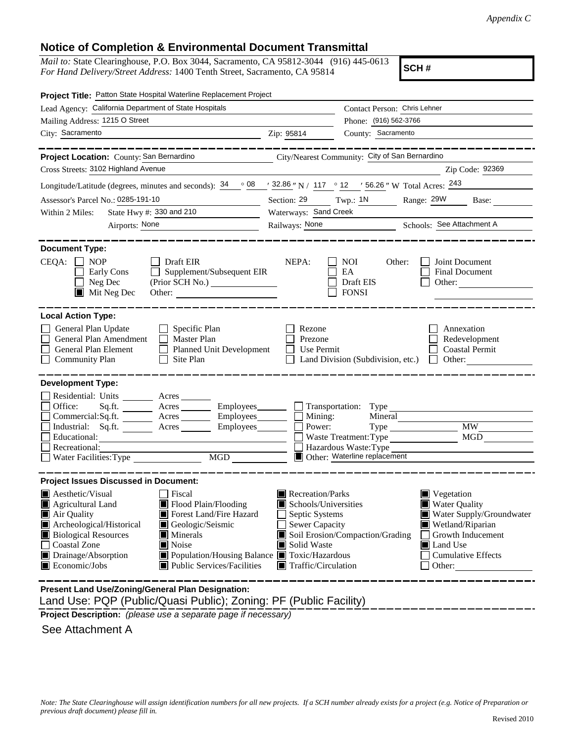## **Notice of Completion & Environmental Document Transmittal**

*Mail to:* State Clearinghouse, P.O. Box 3044, Sacramento, CA 95812-3044 (916) 445-0613 *For Hand Delivery/Street Address:* 1400 Tenth Street, Sacramento, CA 95814

**SCH #**

| Project Title: Patton State Hospital Waterline Replacement Project                                                                                                                                                                                                                                                                                                                              |                                                                                                                                                                                                                                                                                                                                                                   |  |  |
|-------------------------------------------------------------------------------------------------------------------------------------------------------------------------------------------------------------------------------------------------------------------------------------------------------------------------------------------------------------------------------------------------|-------------------------------------------------------------------------------------------------------------------------------------------------------------------------------------------------------------------------------------------------------------------------------------------------------------------------------------------------------------------|--|--|
| Lead Agency: California Department of State Hospitals                                                                                                                                                                                                                                                                                                                                           | Contact Person: Chris Lehner                                                                                                                                                                                                                                                                                                                                      |  |  |
| Mailing Address: 1215 O Street                                                                                                                                                                                                                                                                                                                                                                  | Phone: (916) 562-3766                                                                                                                                                                                                                                                                                                                                             |  |  |
| City: Sacramento                                                                                                                                                                                                                                                                                                                                                                                | County: Sacramento<br>Zip: 95814                                                                                                                                                                                                                                                                                                                                  |  |  |
| ________<br>Project Location: County: San Bernardino City/Nearest Community: City of San Bernardino                                                                                                                                                                                                                                                                                             |                                                                                                                                                                                                                                                                                                                                                                   |  |  |
| Cross Streets: 3102 Highland Avenue                                                                                                                                                                                                                                                                                                                                                             | Zip Code: 92369                                                                                                                                                                                                                                                                                                                                                   |  |  |
| Longitude/Latitude (degrees, minutes and seconds): $\frac{34}{9}$ $\frac{08}{1}$ $\frac{32.86}{1}$ N / 117 $\degree$ 12 $\degree$ 156.26 " W Total Acres: $\frac{243}{1}$                                                                                                                                                                                                                       |                                                                                                                                                                                                                                                                                                                                                                   |  |  |
| Assessor's Parcel No.: 0285-191-10                                                                                                                                                                                                                                                                                                                                                              | Section: 29 Twp.: 1N Range: 29W Base:                                                                                                                                                                                                                                                                                                                             |  |  |
| State Hwy #: 330 and 210<br>Within 2 Miles:                                                                                                                                                                                                                                                                                                                                                     | Waterways: Sand Creek                                                                                                                                                                                                                                                                                                                                             |  |  |
| Airports: None                                                                                                                                                                                                                                                                                                                                                                                  | Railways: None<br>Schools: See Attachment A                                                                                                                                                                                                                                                                                                                       |  |  |
| <b>Document Type:</b><br>$CEQA: \Box NP$<br>Draft EIR<br>Supplement/Subsequent EIR<br>Early Cons<br>Neg Dec<br>$\blacksquare$ Mit Neg Dec<br>Other:                                                                                                                                                                                                                                             | NEPA:<br>NOI<br>Joint Document<br>Other:<br><b>Final Document</b><br>EA<br>Draft EIS<br>Other:<br><b>FONSI</b>                                                                                                                                                                                                                                                    |  |  |
| <b>Local Action Type:</b><br>General Plan Update<br>$\Box$ Specific Plan<br>General Plan Amendment<br>$\Box$ Master Plan<br>General Plan Element<br>Planned Unit Development<br>Site Plan<br><b>Community Plan</b>                                                                                                                                                                              | Rezone<br>Annexation<br>Prezone<br>Redevelopment<br>Use Permit<br><b>Coastal Permit</b><br>Land Division (Subdivision, etc.)<br>$\Box$ Other:                                                                                                                                                                                                                     |  |  |
| <b>Development Type:</b>                                                                                                                                                                                                                                                                                                                                                                        |                                                                                                                                                                                                                                                                                                                                                                   |  |  |
| Residential: Units ________ Acres ______<br>Office:<br>Sq.ft. ________ Acres _________ Employees________  <br>Commercial:Sq.ft. _________ Acres _________ Employees________<br>Industrial: Sq.ft. _______ Acres ______<br>Employees________<br>Recreational:<br>Water Facilities: Type<br>$\overline{MGD}$                                                                                      | $\Box$ Transportation: Type $\Box$<br>Mining:<br>Mineral<br><b>MW</b><br>Power:<br>MGD<br>Waste Treatment: Type<br>Hazardous Waste: Type<br>Other: Waterline replacement                                                                                                                                                                                          |  |  |
| <b>Project Issues Discussed in Document:</b>                                                                                                                                                                                                                                                                                                                                                    |                                                                                                                                                                                                                                                                                                                                                                   |  |  |
| Aesthetic/Visual<br>□ Fiscal<br>Flood Plain/Flooding<br>$\blacksquare$ Agricultural Land<br>Forest Land/Fire Hazard<br>Air Quality<br>Archeological/Historical<br>Geologic/Seismic<br><b>Biological Resources</b><br>Minerals<br>Coastal Zone<br>Noise<br>Drainage/Absorption<br>■ Population/Housing Balance ■ Toxic/Hazardous<br>$\blacksquare$ Economic/Jobs<br>■ Public Services/Facilities | Recreation/Parks<br>$\blacksquare$ Vegetation<br><b>Water Quality</b><br>Schools/Universities<br>Water Supply/Groundwater<br>Septic Systems<br><b>Sewer Capacity</b><br>Wetland/Riparian<br>Soil Erosion/Compaction/Grading<br>Growth Inducement<br>Solid Waste<br><b>I</b> Land Use<br><b>Cumulative Effects</b><br>$\blacksquare$ Traffic/Circulation<br>Other: |  |  |
| Present Land Use/Zoning/General Plan Designation:                                                                                                                                                                                                                                                                                                                                               |                                                                                                                                                                                                                                                                                                                                                                   |  |  |

Land Use: PQP (Public/Quasi Public); Zoning: PF (Public Facility)

**Project Description:** *(please use a separate page if necessary)*

See Attachment A